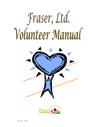



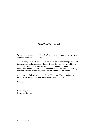#### **WELCOME TO FRASER!!**

We proudly welcome you to Fraser! We are extremely happy to have you as a volunteer and a part of our team.

The following handbook includes information to get you better acquainted with the agency, as well as the people that receive services from Fraser. This is a significant component in your orientation to the volunteer position. This information will be reviewed with you in more detail. Feel free to discuss any questions or concerns you may have with our Volunteer Coordinator.

Again, we are glad to have you as a Fraser Volunteer. You are an important person to our agency. We look forward to working with you.

Sincerely,

Sandra Leyland Executive Director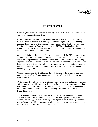

## **HISTORY OF FRASER**

By charter, Fraser is the oldest social service agency in North Dakota ...1993 marked 100 years of proud, dedicated operation.

In 1883 The Florence Crittenton Mission began work in New York City, founded by Charles Crittenton and named in memory of his young daughter. In 1893, a building accommodating twelve to fifteen young women, was erected on South 13th Street (now 711 South University) in Fargo, with the help of a \$1000 contribution from Charles Crittenton. The land was donated by Hannah E. Briggs. The home served "Betrayed girls and unfortunate women with their infants".

Over a period of time, the number of unwed mothers declined. In 1970, due to changing social needs, the agency began serving eight young women with disabilities. In 1971, the articles of incorporation for the Florence Crittenton Home were amended with a change of purpose and name. The name Fraser Hall was chosen to honor Mrs. Irene Fraser. Mrs. Fraser has had an active and key role in Fraser's developments throughout the years, and began serving as a dedicated member of the board of directors in 1956 and continued until her passing in 2001.

Current programming efforts still reflect the 1971 decision of the Crittenton Board of Directors to provide residential services and independent living skills training to people with disabilities.

**Today**, Fraser devotedly continues its mission, serving at one time eight and now around 100 men and women with a variety of disabilities, fostering independence and inclusion into society. With over 160 employees, Fraser is a major **employer** in the community, as well. We have maintained national accreditation by The Council on Quality and Leadership since 1985.

As the program developed, so did the expertise of the staff that supported the people. Awareness of the needs of people with disabilities became apparent and programs were enhanced accordingly. Having a disability does not prohibit one from aging, having an eating disorder, mental illness, or needing adaptive equipment. A wide range of services are offered to the people supported in Fargo by Fraser.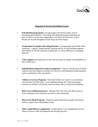

# **Programs & Services Provided by Fraser**

- **• 8 Residential group homes:** serving people with diverse needs, such as developmental disabilities. Providing individualized program planning, the goal of which is to increase independence and foster inclusion into society. Homes are located throughout South Fargo and West Fargo.
- **• Group home for people with eating disorders:** serving people with Prader Willi Syndrome - a genetic eating disorder characterized by an uncontrollable appetite and inability to feel the sensation of being full, as well as difficulty in managing behavior.
- **• 3 Day Support:** providing day services and activities for people with disabilities in their retired years.
- **• Individualized Supported Living Arrangement:** contract with the State of North Dakota to provide supports necessary for success in individualized living situations, such as apartments in the community.
- **• Children's Services Program:** The Fraser Child Care Center is a licensed day care provider in South Fargo. In an integrated setting, the Center encourages inclusion of children with special needs and those who are typically developing.
- **• Red Cross-certified instructors:** offering CPR, First Aid, and AED classes to Fraser employees and volunteers as well as to the community.
- **• Heat & Eat Meals Program:** Nutritious meals delivered to people with diverse needs to support their independent living.
- **• Other comprehensive components:** include agency Case management services, Dietary Services, Staff Development and Nursing Services.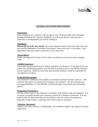

# **FRASER VOLUNTEER PROCEDURES**

#### **Orientation:**

Upon acceptance as a volunteer with our agency, you will be provided with a thorough training included in the Volunteer Handbook, as well as job specific training from a supervisor in the department you will be working in.

#### **Timesheets:**

**Due on the 1st of the next month.** Record all volunteer hours on the Time sheet form and turn into the Habilitation Coordinator each month. Keep close track of your hours. Your department supervisor needs to initial off on your time sheet.

#### **Absent/Illness:**

Notify your supervisor if your are ill or other circumstances prevent you from coming to work.

### **Liability/Insurance:**

Fraser does not provide personal or vehicle insurance for volunteers. If you plan to use your vehicle for volunteering purposes, you will need to provide proof of your liability insurance to your supervisor. Please be aware that your personal insurance would be responsible for any unforseen accidents.

#### **Evaluation/Recognition:**

The Volunteer Coordinator will complete an evaluation annually and meet with you. CPR and First Aid classes are offered free of charge to all volunteers. We also welcome and encourage attendance at Team Member Training meetings, for personal and professional growth.

#### **Resignation/Termination:**

Provide written notice to the Volunteer Coordinator of the effective date of resignation. If at any point, you prefer another site or position, contact the Volunteer Coordinator. If at any point in time it is determined that you are unable to meet the needs of the position or purposely violate conduct, a meeting will be held to discuss separation.

#### **Volunteer Agreement:**

Abide by the Code of Ethics, Confidentiality, and conditions signed in the Agency/Volunteer Agreement.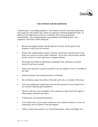

## **VOLUNTEER JOB DESCRIPTION**

Volunteering is a rewarding experience. All of those involved in the relationship must have respect for one another and a desire to cooperate in meeting designated needs. In addition to the rights that you have as a volunteer, there are accompanying responsibilities. By recognizing these responsibilities and fulfilling them, your experience with Fraser will be enhanced.

- **•** Become thoroughly familiar with the Mission of Fraser and the goals of the program in which you are involved.
- **•** Respect the confidentiality of names, histories, and records, and the privacy of all those you work for as well as other volunteers. If you have criticism about another person, convey it to your supervisor or program director.
- **•** Be prompt and reliable in reporting for scheduled work, and keep an accurate record of your hours worked.
- **•** Notify your supervisor as early as possible if you are unable to work as a member of the team.
- **•** Attend orientation and training sessions as scheduled.
- **•** Be considerate, respect the ability of the staff, and work as a member of the team.
- **•** Carry out assignments in good spirit and seek the assistance of your supervisor in any situation requiring special guidance.
- **•** Decline work that is not acceptable to you; maintain an open mind with regard to other peoples standards and values.
- **•** Communicate your personal limitations.
- Give written notice if you cannot continue in your volunteer position or if you are requesting a leave of absence from the program.
- **•** Follow current Fraser policies. (i.e. Sexual Harassment, Abuse and Neglect etc.)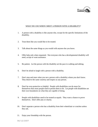

## WHAT DO I DO WHEN I MEET A PERSON WITH A DISABILITY?

- 1. A person with a disability is like anyone else, except for the specific limitations of the disability.
- 2. Treat them like you would like to be treated.
- 3. Talk about the same things as you would with anyone else you know.
- 4. Offer help only when requested. Not everyone who has a developmental disability will need, accept or want assistance.
- 5. Be patient. Let the person with the disability set the pace in walking and talking.
- 6. Don't be afraid to laugh with a person with a disability.
- 7. Don't stop and stare when you see a person with a disability whom you don't know. They deserve the same courtesy and respect as any person.
- 8. Don't be over-protective or helpful. People with disabilities can do more for themselves than most people tend to permit them to do. Let people with disabilities set their own boundaries on what they are capable of doing.
- 9. People with disabilities need to be treated as equals. They want a chance to prove themselves. Don't offer pity or charity.
- 10. Don't separate a person who has a disability from their wheelchair or crutches unless they ask.
- 11. Enjoy your friendship with the person.

06/12/2007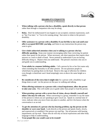

# **DISABILITY ETIQUETTE**

(University of Minnesota)

- **• When talking with a person who has a disability, speak directly to that person** rather than through a companion who may be along.
- **• Relax.** Don't be embarrassed if you happen to use accepted, common expressions, such as "See You later," or "Got to be running along," that seem to relate to the person's disability.
- **• Offer assistance to a person with a disability if you feel like it, but wait until your offer is accepted BEFORE you help,** and listen to any instructions the person may want to give.
- **• Give whole unhurried attention when you're talking to a person who has difficulty speaking.** Keep your manner encouraging rather than correcting, be patient rather than speak for the person. When necessary, ask short questions that require short answers or a nod or shake of head. Never pretend to understand if you are having difficulty doing so. Repeat what you understand. The person's reactions clue you in and guide you to understanding.
- **• Treat adults in a manner befitting adults.** Call a person by his or her first name only when extending that formality to all other present. Do not patronize people in wheelchairs by patting them on the head. Reserve this sign of affection for children even though a wheelchair user's head temptingly rests at above the same height as a child's.
- **• Be considerate of the extra time it might take** for a person with a disability to get things done or said. Let the person set the pace in walking and talking.
- **• When offering assistance to a person with a visual impairment, allow the person to take your arm.** This will enable you to guide rather than propel or lead the person.
- **• When greeting a person with a severe loss of vision, always identify yourself and others who may be with you.** When conversing in a group, remember to say the name of the person to whom you are speaking to give vocal cue. Speak in a normal tone of voice, indicate when you move from one place to another, and let it be known when the conversation is at an end.
- **• To get the attention of a person who has hearing problem, tap the person on the shoulder or wave your hand.** Look directly at the person and speak clearly, slowly, and expressively to establish if the person can read lips. Not all persons with hearing impairments can lip-read. Those who do will rely on facial expressions and other body language to help in understanding.
- **• Treat people like you would want to be treated!**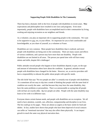

## **Supporting People With Disabilities In The Community**

There has been a dramatic shift in the lives of people with disabilities in recent years. **New** expectations and philosophies have resulted in new laws and programs. Even more importantly, people with disabilities have accomplished much in their communities by living, working and enjoying recreation as our neighbors and friends.

As a volunteer, you play an important role in supporting people in the community. We want to be supportive to you, too, in your efforts. It's important for you to feel comfortable and knowledgeable, as you share of yourself, as a volunteer at Fraser.

Disabilities are very common. More people have disabilities than is realized, and more people with disabilities are being seen in the community. There are many causes and effects of various conditions, and a person may have more than one disability. People with disabilities are not limited in all areas. The person you spend time with will have many talents and skills, despite life's challenges!

Public attitudes toward people who happen to have disabilities depend, in part, on the type and amount of information others have about the condition. In general, attitudes toward people with disabilities have changed for the better. However, we, as service providers still have a responsibility to educate the public about people with specific needs.

The old cliché' that says "No two people are alike" is certainly true of people with disabilities. It is sometimes all too easy to slip into a mode of thinking that people with the same kind of condition are exactly the same - and that because they may have the same disability, they have the same problems or personalities. That is as unreasonable as saying that all people with red hair are exactly alike. No two people are alike. People with the same disability may learn to live with it in different ways.

Everyone shares certain human needs, and people with disabilities are no exception. We all need to have attention, warmth, care, affection, companionship and discipline in our lives. The list could go on for pages. These are almost as urgent as the basic needs for food and shelter. In fact, studies have shown that people who have been deprived of social contacts can suffer an "emotional starvation" that may also affect them physically. It can impact growth in much the same way physical starvation does.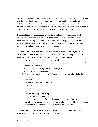We need to guard against making wrong assumptions. For example, it is incorrect to assume that Sue has difficulty speaking, she does not want to communicate; or that because Bill is withdrawn, he does not need other people or want to interact with them; or that because Mary has cerebral palsy, she cannot take part in work or leisure activities. People with disabilities are unique. Yet, like everyone else, all have basic human and social needs.

Some disabilities are more noticeable than others, and some people are immediately identifiable because of they move or act. Other people have conditions that are less noticeable, like hearing loss or mental retardation. How other people react, and the expectations they have, can have a great impact on the people you work with, encouraging them to grow and to become active community members.

The term "developmental disability" is a legal definition mandated by Congress in 1970. In 1978, a new act revised the initial definition so that it focused on the impact of the disability, rather than on a specific diagnosis. Today, this is the federal definition:

"a severe, chronic disability of a person which -

- a. Is attributable to a mental or physical impairment or combination of mental and physical impairments;
- b. Is manifested before the person attains the age of 22;
- c. Is likely to continue indefinitely;
- d. Results in substantial functional limitations in three or more of the following areas of major life activity:
	- Self care
	- Receptive and expressive language
	- Learning
	- Mobility
	- Self-direction
	- Capacity for independent living, and
	- Economic self-sufficiency; and
- e. Reflects the person's need for a combination and sequence of special interdisciplinary, or generic care, treatment, or other services which are lifelong or extended duration and are individually planned and coordinated."

The Staff Developmental Department will be happy to give you information on specific topics that would help you in your volunteer experience.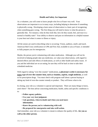

## **Health and Safety Are Important**

As a volunteer, you will come to know people who live at Fraser very well. Your observations are important to us in many ways, including helping to determine if something is physically wrong. Developing a keen sense of observation is a basic part of recognizing when something goes wrong. The first thing you will need to know is what the person is generally like. For instance, what do they look like, how do they sound, feel, and react in a normal or healthy state? Your ability to observe and pass on information in a helpful manner is your best tool when it comes to illness or injury.

All the senses are used in describing what is occurring: Vision, auditory, smell, and touch. American Red Cross certification in CPR and First Aid, available to you at Fraser, is intended to fully prepare you for emergencies.

Maybe, the person you're volunteering with takes medication. Although you will not be involved in helping people take any medicines, we value your observations, with regard to desired effects and side effects of medications, as well as other health and safety issues. If you and the individual are on an outing, be sure they will be back in time to take their scheduled medicine.

With regard to taking "over-the-counter" medications, **a physician's order is necessary for every type of over-the-counter item, such as vitamins, aspirin, cough medicine,** as well as for prescription drugs. You must check with program staff about a person buying or taking any kind of over-the-counter remedy or product. They will know what to do.

In closing, your role as a volunteer is special and important. There are many things to know, aren't there? The best advise concerning medication, health, safety and specific conditions is to:

- **Follow agency policies.**
- **Use your very best judgment.**
- **Ask questions, when in doubt and when you need more information.**
- **Know the person you're volunteering with well.**
- **Be prepared for emergencies and take swift action.**

And remember, your role as a volunteer is meant to enhance the quality of life...**for you as well as the other person.**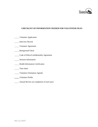

## **CHECKLIST OF INFORMATION NEEDED FOR VOLUNTEER FILES**

- **Wolunteer Application**
- **Interview Record**
- Volunteer Agreement
- **Background Check**
- Code of Ethics/Confidentiality Agreement
- Seizures Information
- Health Information Certification
- **Time** sheet
- Volunteer Orientation Agenda
- Volunteer Profile
- **Annual Review (at completion of each year)**